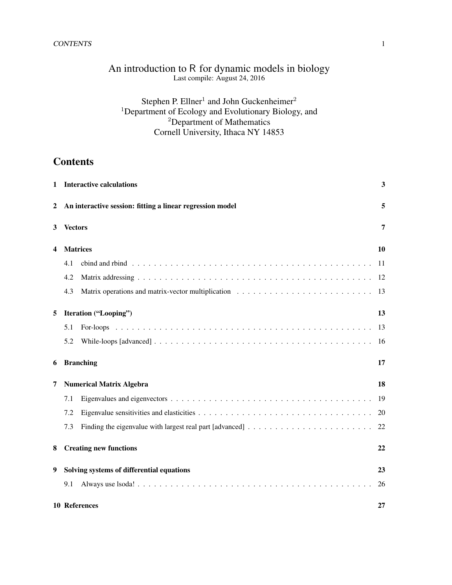### CONTENTS 1

# An introduction to R for dynamic models in biology Last compile: August 24, 2016

# Stephen P. Ellner<sup>1</sup> and John Guckenheimer<sup>2</sup> <sup>1</sup>Department of Ecology and Evolutionary Biology, and  $2$ Department of Mathematics Cornell University, Ithaca NY 14853

# **Contents**

| 1 |                | <b>Interactive calculations</b>                           | 3   |
|---|----------------|-----------------------------------------------------------|-----|
| 2 |                | An interactive session: fitting a linear regression model | 5   |
| 3 | <b>Vectors</b> |                                                           | 7   |
| 4 |                | <b>Matrices</b>                                           | 10  |
|   | 4.1            |                                                           | -11 |
|   | 4.2            |                                                           | 12  |
|   | 4.3            |                                                           | 13  |
| 5 |                | Iteration ("Looping")                                     | 13  |
|   | 5.1            |                                                           | 13  |
|   | 5.2            |                                                           | 16  |
| 6 |                | <b>Branching</b>                                          | 17  |
| 7 |                | <b>Numerical Matrix Algebra</b>                           | 18  |
|   | 7.1            |                                                           | 19  |
|   | 7.2            |                                                           | 20  |
|   | 7.3            |                                                           | 22  |
| 8 |                | <b>Creating new functions</b>                             | 22  |
| 9 |                | Solving systems of differential equations                 | 23  |
|   | 9.1            |                                                           | 26  |
|   |                | 10 References                                             | 27  |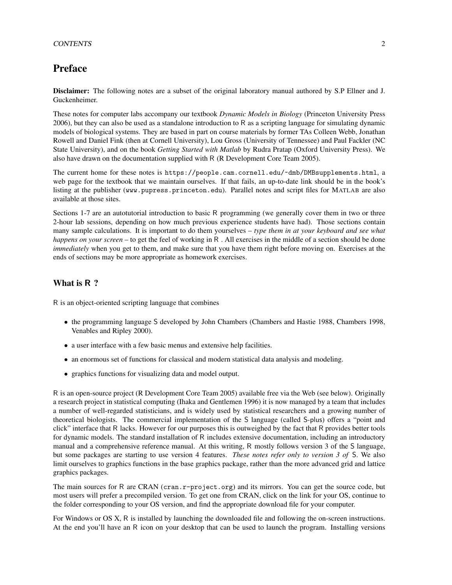# Preface

Disclaimer: The following notes are a subset of the original laboratory manual authored by S.P Ellner and J. Guckenheimer.

These notes for computer labs accompany our textbook *Dynamic Models in Biology* (Princeton University Press 2006), but they can also be used as a standalone introduction to R as a scripting language for simulating dynamic models of biological systems. They are based in part on course materials by former TAs Colleen Webb, Jonathan Rowell and Daniel Fink (then at Cornell University), Lou Gross (University of Tennessee) and Paul Fackler (NC State University), and on the book *Getting Started with Matlab* by Rudra Pratap (Oxford University Press). We also have drawn on the documentation supplied with R (R Development Core Team 2005).

The current home for these notes is https://people.cam.cornell.edu/~dmb/DMBsupplements.html, a web page for the textbook that we maintain ourselves. If that fails, an up-to-date link should be in the book's listing at the publisher (www.pupress.princeton.edu). Parallel notes and script files for MATLAB are also available at those sites.

Sections 1-7 are an autotutorial introduction to basic R programming (we generally cover them in two or three 2-hour lab sessions, depending on how much previous experience students have had). Those sections contain many sample calculations. It is important to do them yourselves – *type them in at your keyboard and see what happens on your screen* – to get the feel of working in R. All exercises in the middle of a section should be done *immediately* when you get to them, and make sure that you have them right before moving on. Exercises at the ends of sections may be more appropriate as homework exercises.

## What is R ?

R is an object-oriented scripting language that combines

- the programming language S developed by John Chambers (Chambers and Hastie 1988, Chambers 1998, Venables and Ripley 2000).
- a user interface with a few basic menus and extensive help facilities.
- an enormous set of functions for classical and modern statistical data analysis and modeling.
- graphics functions for visualizing data and model output.

R is an open-source project (R Development Core Team 2005) available free via the Web (see below). Originally a research project in statistical computing (Ihaka and Gentlemen 1996) it is now managed by a team that includes a number of well-regarded statisticians, and is widely used by statistical researchers and a growing number of theoretical biologists. The commercial implementation of the S language (called S-plus) offers a "point and click" interface that R lacks. However for our purposes this is outweighed by the fact that R provides better tools for dynamic models. The standard installation of R includes extensive documentation, including an introductory manual and a comprehensive reference manual. At this writing, R mostly follows version 3 of the S language, but some packages are starting to use version 4 features. *These notes refer only to version 3 of* S. We also limit ourselves to graphics functions in the base graphics package, rather than the more advanced grid and lattice graphics packages.

The main sources for R are CRAN (cran.r-project.org) and its mirrors. You can get the source code, but most users will prefer a precompiled version. To get one from CRAN, click on the link for your OS, continue to the folder corresponding to your OS version, and find the appropriate download file for your computer.

For Windows or OS X, R is installed by launching the downloaded file and following the on-screen instructions. At the end you'll have an R icon on your desktop that can be used to launch the program. Installing versions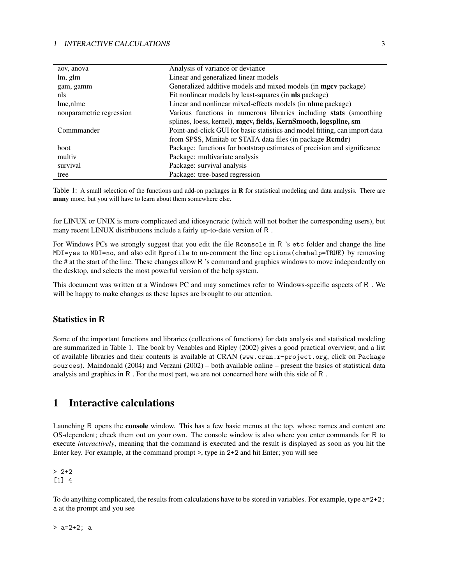### 1 INTERACTIVE CALCULATIONS 3

| aov, anova               | Analysis of variance or deviance                                            |
|--------------------------|-----------------------------------------------------------------------------|
| lm, glm                  | Linear and generalized linear models                                        |
| gam, gamm                | Generalized additive models and mixed models (in <b>mgcv</b> package)       |
| nls                      | Fit nonlinear models by least-squares (in nls package)                      |
| lme, nlme                | Linear and nonlinear mixed-effects models (in nlme package)                 |
| nonparametric regression | Various functions in numerous libraries including stats (smoothing          |
|                          | splines, loess, kernel), mgcv, fields, KernSmooth, logspline, sm            |
| Commmander               | Point-and-click GUI for basic statistics and model fitting, can import data |
|                          | from SPSS, Minitab or STATA data files (in package Rcmdr)                   |
| <b>boot</b>              | Package: functions for bootstrap estimates of precision and significance    |
| multiv                   | Package: multivariate analysis                                              |
| survival                 | Package: survival analysis                                                  |
| tree                     | Package: tree-based regression                                              |

Table 1: A small selection of the functions and add-on packages in R for statistical modeling and data analysis. There are many more, but you will have to learn about them somewhere else.

for LINUX or UNIX is more complicated and idiosyncratic (which will not bother the corresponding users), but many recent LINUX distributions include a fairly up-to-date version of R .

For Windows PCs we strongly suggest that you edit the file Rconsole in R 's etc folder and change the line MDI=yes to MDI=no, and also edit Rprofile to un-comment the line options(chmhelp=TRUE) by removing the # at the start of the line. These changes allow R 's command and graphics windows to move independently on the desktop, and selects the most powerful version of the help system.

This document was written at a Windows PC and may sometimes refer to Windows-specific aspects of R . We will be happy to make changes as these lapses are brought to our attention.

## Statistics in R

Some of the important functions and libraries (collections of functions) for data analysis and statistical modeling are summarized in Table 1. The book by Venables and Ripley (2002) gives a good practical overview, and a list of available libraries and their contents is available at CRAN (www.cran.r-project.org, click on Package sources). Maindonald (2004) and Verzani (2002) – both available online – present the basics of statistical data analysis and graphics in R . For the most part, we are not concerned here with this side of R .

# 1 Interactive calculations

Launching R opens the console window. This has a few basic menus at the top, whose names and content are OS-dependent; check them out on your own. The console window is also where you enter commands for R to execute *interactively*, meaning that the command is executed and the result is displayed as soon as you hit the Enter key. For example, at the command prompt >, type in 2+2 and hit Enter; you will see

 $> 2+2$ [1] 4

To do anything complicated, the results from calculations have to be stored in variables. For example, type a=2+2; a at the prompt and you see

> a=2+2; a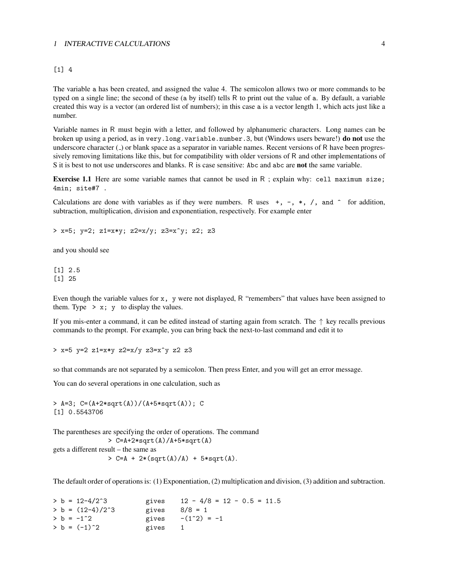### 1 INTERACTIVE CALCULATIONS 4

### [1] 4

The variable a has been created, and assigned the value 4. The semicolon allows two or more commands to be typed on a single line; the second of these (a by itself) tells R to print out the value of a. By default, a variable created this way is a vector (an ordered list of numbers); in this case a is a vector length 1, which acts just like a number.

Variable names in R must begin with a letter, and followed by alphanumeric characters. Long names can be broken up using a period, as in very.long.variable.number.3, but (Windows users beware!) do not use the underscore character ( $\Box$ ) or blank space as a separator in variable names. Recent versions of R have been progressively removing limitations like this, but for compatibility with older versions of R and other implementations of S it is best to not use underscores and blanks. R is case sensitive: Abc and abc are not the same variable.

Exercise 1.1 Here are some variable names that cannot be used in R ; explain why: cell maximum size; 4min; site#7 .

Calculations are done with variables as if they were numbers. R uses  $+, -, *, /$ , and  $\hat{ }$  for addition, subtraction, multiplication, division and exponentiation, respectively. For example enter

> x=5; y=2; z1=x\*y; z2=x/y; z3=x^y; z2; z3

and you should see

[1] 2.5 [1] 25

Even though the variable values for x, y were not displayed, R "remembers" that values have been assigned to them. Type  $> x$ ; y to display the values.

If you mis-enter a command, it can be edited instead of starting again from scratch. The ↑ key recalls previous commands to the prompt. For example, you can bring back the next-to-last command and edit it to

> x=5 y=2 z1=x\*y z2=x/y z3=x^y z2 z3

so that commands are not separated by a semicolon. Then press Enter, and you will get an error message.

You can do several operations in one calculation, such as

 $> A=3$ ; C=(A+2\*sqrt(A))/(A+5\*sqrt(A)); C [1] 0.5543706

The parentheses are specifying the order of operations. The command > C=A+2\*sqrt(A)/A+5\*sqrt(A) gets a different result – the same as  $> C=A + 2*(sqrt(A)/A) + 5*sqrt(A).$ 

The default order of operations is: (1) Exponentiation, (2) multiplication and division, (3) addition and subtraction.

 $> b = 12-4/2^3$  gives  $12 - 4/8 = 12 - 0.5 = 11.5$ <br> $> b = (12-4)/2^3$  gives  $8/8 = 1$  $> b = (12-4)/2^3$  gives  $> b = -1^2$  gives  $-(1^2) = -1$  $> b = (-1)^2$  gives 1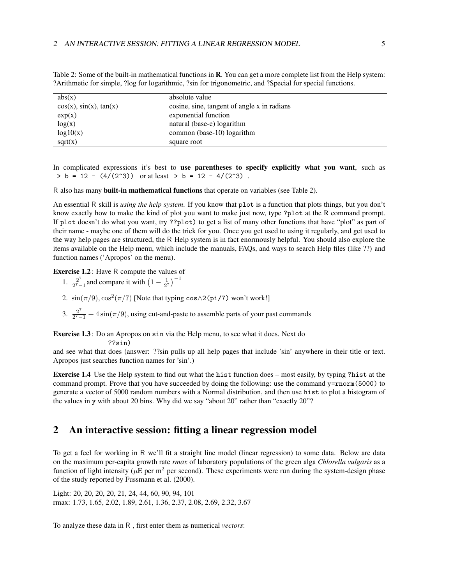| abs(x)                         | absolute value                              |
|--------------------------------|---------------------------------------------|
| $cos(x)$ , $sin(x)$ , $tan(x)$ | cosine, sine, tangent of angle x in radians |
| exp(x)                         | exponential function                        |
| log(x)                         | natural (base-e) logarithm                  |
| log10(x)                       | common (base-10) logarithm                  |
| sqrt(x)                        | square root                                 |

Table 2: Some of the built-in mathematical functions in **R**. You can get a more complete list from the Help system: ?Arithmetic for simple, ?log for logarithmic, ?sin for trigonometric, and ?Special for special functions.

In complicated expressions it's best to use parentheses to specify explicitly what you want, such as  $> b = 12 - (4/(2^3))$  or at least  $> b = 12 - 4/(2^3)$ .

R also has many built-in mathematical functions that operate on variables (see Table 2).

An essential R skill is *using the help system*. If you know that plot is a function that plots things, but you don't know exactly how to make the kind of plot you want to make just now, type ?plot at the R command prompt. If plot doesn't do what you want, try ??plot) to get a list of many other functions that have "plot" as part of their name - maybe one of them will do the trick for you. Once you get used to using it regularly, and get used to the way help pages are structured, the R Help system is in fact enormously helpful. You should also explore the items available on the Help menu, which include the manuals, FAQs, and ways to search Help files (like ??) and function names ('Apropos' on the menu).

Exercise 1.2 : Have R compute the values of

- 1.  $\frac{2^7}{2^7}$  $\frac{2^7}{2^7-1}$  and compare it with  $\left(1-\frac{1}{2^7}\right)^{-1}$
- 2.  $\sin(\pi/9), \cos^2(\pi/7)$  [Note that typing cos $\wedge$ 2(pi/7) won't work!]
- 3.  $\frac{2^7}{2^7}$  $\frac{2^{7}}{2^{7}-1}$  + 4 sin( $\pi$ /9), using cut-and-paste to assemble parts of your past commands

Exercise 1.3 : Do an Apropos on sin via the Help menu, to see what it does. Next do

??sin)

and see what that does (answer: ??sin pulls up all help pages that include 'sin' anywhere in their title or text. Apropos just searches function names for 'sin'.)

Exercise 1.4 Use the Help system to find out what the hist function does – most easily, by typing ?hist at the command prompt. Prove that you have succeeded by doing the following: use the command y=rnorm(5000) to generate a vector of 5000 random numbers with a Normal distribution, and then use hist to plot a histogram of the values in y with about 20 bins. Why did we say "about 20" rather than "exactly 20"?

## 2 An interactive session: fitting a linear regression model

To get a feel for working in R we'll fit a straight line model (linear regression) to some data. Below are data on the maximum per-capita growth rate *rmax* of laboratory populations of the green alga *Chlorella vulgaris* as a function of light intensity ( $\mu$ E per m<sup>2</sup> per second). These experiments were run during the system-design phase of the study reported by Fussmann et al. (2000).

Light: 20, 20, 20, 20, 21, 24, 44, 60, 90, 94, 101 rmax: 1.73, 1.65, 2.02, 1.89, 2.61, 1.36, 2.37, 2.08, 2.69, 2.32, 3.67

To analyze these data in R , first enter them as numerical *vectors*: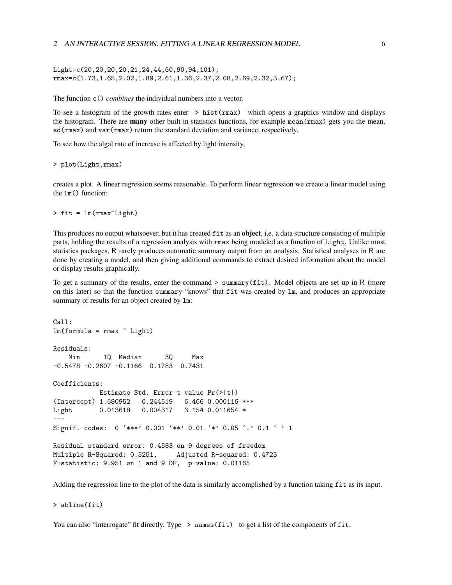#### 2 AN INTERACTIVE SESSION: FITTING A LINEAR REGRESSION MODEL 6

Light=c(20,20,20,20,21,24,44,60,90,94,101); rmax=c(1.73,1.65,2.02,1.89,2.61,1.36,2.37,2.08,2.69,2.32,3.67);

The function c() *combines* the individual numbers into a vector.

To see a histogram of the growth rates enter > hist(rmax) which opens a graphics window and displays the histogram. There are **many** other built-in statistics functions, for example mean $(\text{rmax})$  gets you the mean, sd(rmax) and var(rmax) return the standard deviation and variance, respectively.

To see how the algal rate of increase is affected by light intensity,

```
> plot(Light,rmax)
```
creates a plot. A linear regression seems reasonable. To perform linear regression we create a linear model using the lm() function:

 $>$  fit =  $lm(rmax^rLight)$ 

This produces no output whatsoever, but it has created  $fit$  as an object, i.e. a data structure consisting of multiple parts, holding the results of a regression analysis with rmax being modeled as a function of Light. Unlike most statistics packages, R rarely produces automatic summary output from an analysis. Statistical analyses in R are done by creating a model, and then giving additional commands to extract desired information about the model or display results graphically.

To get a summary of the results, enter the command > summary(fit). Model objects are set up in R (more on this later) so that the function summary "knows" that fit was created by lm, and produces an appropriate summary of results for an object created by lm:

```
Call:
lm(formula = rmax \tilde{L} Light)
Residuals:
   Min 1Q Median 3Q Max
-0.5478 -0.2607 -0.1166 0.1783 0.7431
Coefficients:
          Estimate Std. Error t value Pr(>|t|)
(Intercept) 1.580952 0.244519 6.466 0.000116 ***
Light 0.013618 0.004317 3.154 0.011654 *
---Signif. codes: 0 '***' 0.001 '**' 0.01 '*' 0.05 '.' 0.1 ' ' 1
Residual standard error: 0.4583 on 9 degrees of freedom
Multiple R-Squared: 0.5251, Adjusted R-squared: 0.4723
F-statistic: 9.951 on 1 and 9 DF, p-value: 0.01165
```
Adding the regression line to the plot of the data is similarly accomplished by a function taking fit as its input.

> abline(fit)

You can also "interrogate" fit directly. Type > names (fit) to get a list of the components of fit.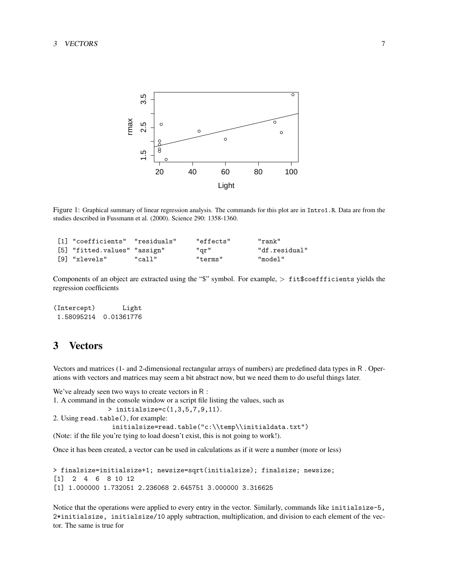

Figure 1: Graphical summary of linear regression analysis. The commands for this plot are in Intro1.R. Data are from the studies described in Fussmann et al. (2000). Science 290: 1358-1360.

| [1] "coefficients" "residuals" |        | "effects" | "rank"        |
|--------------------------------|--------|-----------|---------------|
| [5] "fitted.values" "assign"   |        | "gr"      | "df.residual" |
| [9] "xlevels"                  | "call" | "terms"   | "model"       |

Components of an object are extracted using the "\$" symbol. For example, > fit\$coeffficients yields the regression coefficients

```
(Intercept) Light
1.58095214 0.01361776
```
# 3 Vectors

Vectors and matrices (1- and 2-dimensional rectangular arrays of numbers) are predefined data types in R . Operations with vectors and matrices may seem a bit abstract now, but we need them to do useful things later.

We've already seen two ways to create vectors in R : 1. A command in the console window or a script file listing the values, such as > initialsize=c(1,3,5,7,9,11). 2. Using read.table(), for example: initialsize=read.table("c:\\temp\\initialdata.txt") (Note: if the file you're tying to load doesn't exist, this is not going to work!). Once it has been created, a vector can be used in calculations as if it were a number (more or less)

```
> finalsize=initialsize+1; newsize=sqrt(initialsize); finalsize; newsize;
[1] 2 4 6 8 10 12
[1] 1.000000 1.732051 2.236068 2.645751 3.000000 3.316625
```
Notice that the operations were applied to every entry in the vector. Similarly, commands like initialsize-5, 2\*initialsize, initialsize/10 apply subtraction, multiplication, and division to each element of the vector. The same is true for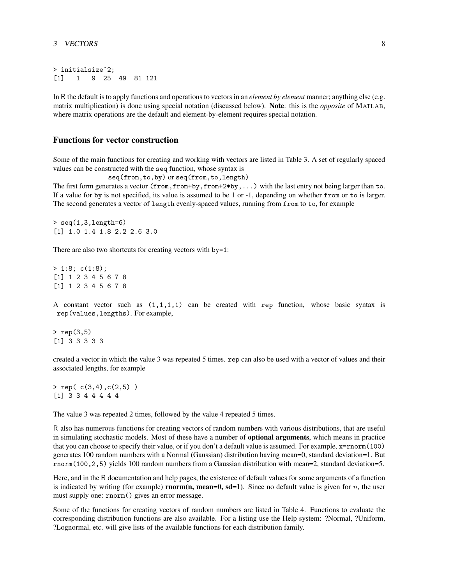```
> initialsize^2;
[1] 1 9 25 49 81 121
```
In R the default is to apply functions and operations to vectors in an *element by element* manner; anything else (e.g. matrix multiplication) is done using special notation (discussed below). Note: this is the *opposite* of MATLAB, where matrix operations are the default and element-by-element requires special notation.

### Functions for vector construction

Some of the main functions for creating and working with vectors are listed in Table 3. A set of regularly spaced values can be constructed with the seq function, whose syntax is

seq(from,to,by) or seq(from,to,length)

The first form generates a vector (from,from+by,from+2\*by,...) with the last entry not being larger than to. If a value for by is not specified, its value is assumed to be 1 or -1, depending on whether from or to is larger. The second generates a vector of length evenly-spaced values, running from from to to, for example

```
> seq(1,3,length=6)
[1] 1.0 1.4 1.8 2.2 2.6 3.0
```
There are also two shortcuts for creating vectors with by=1:

> 1:8; c(1:8); [1] 1 2 3 4 5 6 7 8 [1] 1 2 3 4 5 6 7 8

A constant vector such as  $(1,1,1,1)$  can be created with rep function, whose basic syntax is rep(values,lengths). For example,

> rep(3,5) [1] 3 3 3 3 3

created a vector in which the value 3 was repeated 5 times. rep can also be used with a vector of values and their associated lengths, for example

> rep( c(3,4),c(2,5) ) [1] 3 3 4 4 4 4 4

The value 3 was repeated 2 times, followed by the value 4 repeated 5 times.

R also has numerous functions for creating vectors of random numbers with various distributions, that are useful in simulating stochastic models. Most of these have a number of **optional arguments**, which means in practice that you can choose to specify their value, or if you don't a default value is assumed. For example, x=rnorm(100) generates 100 random numbers with a Normal (Gaussian) distribution having mean=0, standard deviation=1. But rnorm(100,2,5) yields 100 random numbers from a Gaussian distribution with mean=2, standard deviation=5.

Here, and in the R documentation and help pages, the existence of default values for some arguments of a function is indicated by writing (for example) **rnorm(n, mean=0, sd=1**). Since no default value is given for  $n$ , the user must supply one: rnorm() gives an error message.

Some of the functions for creating vectors of random numbers are listed in Table 4. Functions to evaluate the corresponding distribution functions are also available. For a listing use the Help system: ?Normal, ?Uniform, ?Lognormal, etc. will give lists of the available functions for each distribution family.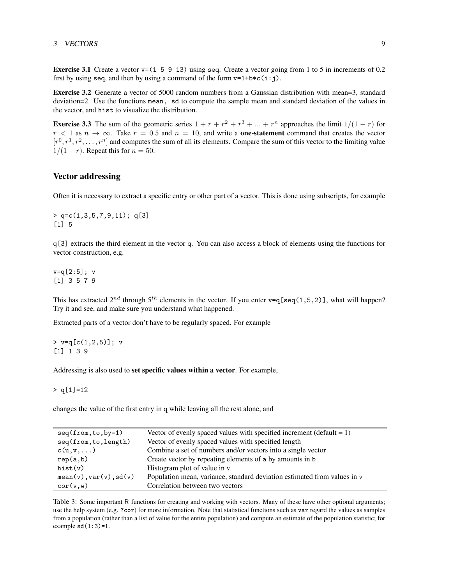### 3 VECTORS 9

**Exercise 3.1** Create a vector  $v=(1 5 9 13)$  using seq. Create a vector going from 1 to 5 in increments of 0.2 first by using seq, and then by using a command of the form  $v=1+b*c(i:j)$ .

Exercise 3.2 Generate a vector of 5000 random numbers from a Gaussian distribution with mean=3, standard deviation=2. Use the functions mean, sd to compute the sample mean and standard deviation of the values in the vector, and hist to visualize the distribution.

**Exercise 3.3** The sum of the geometric series  $1 + r + r^2 + r^3 + ... + r^n$  approaches the limit  $1/(1 - r)$  for  $r < 1$  as  $n \to \infty$ . Take  $r = 0.5$  and  $n = 10$ , and write a **one-statement** command that creates the vector  $[r^0, r^1, r^2, \ldots, r^n]$  and computes the sum of all its elements. Compare the sum of this vector to the limiting value  $1/(1 - r)$ . Repeat this for  $n = 50$ .

### Vector addressing

Often it is necessary to extract a specific entry or other part of a vector. This is done using subscripts, for example

> q=c(1,3,5,7,9,11); q[3] [1] 5

q[3] extracts the third element in the vector q. You can also access a block of elements using the functions for vector construction, e.g.

v=q[2:5]; v [1] 3 5 7 9

This has extracted  $2^{nd}$  through  $5^{th}$  elements in the vector. If you enter v=q[seq(1,5,2)], what will happen? Try it and see, and make sure you understand what happened.

Extracted parts of a vector don't have to be regularly spaced. For example

 $> v=q[c(1,2,5)]$ ; v [1] 1 3 9

Addressing is also used to set specific values within a vector. For example,

 $> q[1]=12$ 

changes the value of the first entry in q while leaving all the rest alone, and

| $seq(from, to, by=1)$          | Vector of evenly spaced values with specified increment (default $= 1$ ) |
|--------------------------------|--------------------------------------------------------------------------|
| seq(from, to, length)          | Vector of evenly spaced values with specified length                     |
| $c(u,v,\dots)$                 | Combine a set of numbers and/or vectors into a single vector             |
|                                |                                                                          |
| rep(a,b)                       | Create vector by repeating elements of a by amounts in b                 |
| hist(v)                        | Histogram plot of value in v                                             |
| $mean(v)$ , $var(v)$ , $sd(v)$ | Population mean, variance, standard deviation estimated from values in v |
| cor(v, w)                      | Correlation between two vectors                                          |

Table 3: Some important R functions for creating and working with vectors. Many of these have other optional arguments; use the help system (e.g. ?cor) for more information. Note that statistical functions such as var regard the values as samples from a population (rather than a list of value for the entire population) and compute an estimate of the population statistic; for example  $sd(1:3)=1$ .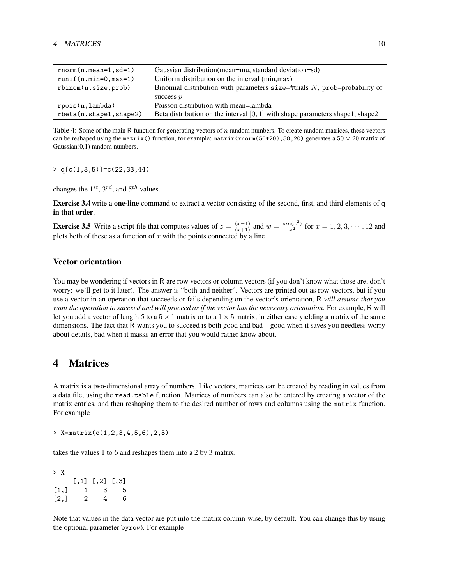| $rnorm(n,mean=1, sd=1)$  | Gaussian distribution (mean=mu, standard deviation=sd)                           |
|--------------------------|----------------------------------------------------------------------------------|
| $runif(n,min=0,max=1)$   | Uniform distribution on the interval (min, max)                                  |
| rbinom(n,size,prob)      | Binomial distribution with parameters $size = \# trials N$ , prob=probability of |
|                          | success $p$                                                                      |
| rpois(n,lambda)          | Poisson distribution with mean=lambda                                            |
| rbeta(n, shape1, shape2) | Beta distribution on the interval $[0,1]$ with shape parameters shape1, shape2   |

Table 4: Some of the main R function for generating vectors of n random numbers. To create random matrices, these vectors can be reshaped using the matrix() function, for example: matrix(rnorm(50\*20),50,20) generates a  $50 \times 20$  matrix of Gaussian(0,1) random numbers.

 $> q[c(1,3,5)] = c(22,33,44)$ 

changes the  $1^{st}$ ,  $3^{rd}$ , and  $5^{th}$  values.

Exercise 3.4 write a one-line command to extract a vector consisting of the second, first, and third elements of q in that order.

**Exercise 3.5** Write a script file that computes values of  $z = \frac{(x-1)}{(x+1)}$  and  $w = \frac{\sin(x^2)}{x^2}$  for  $x = 1, 2, 3, \cdots, 12$  and plots both of these as a function of  $x$  with the points connected by a line.

## Vector orientation

You may be wondering if vectors in R are row vectors or column vectors (if you don't know what those are, don't worry: we'll get to it later). The answer is "both and neither". Vectors are printed out as row vectors, but if you use a vector in an operation that succeeds or fails depending on the vector's orientation, R *will assume that you want the operation to succeed and will proceed as if the vector has the necessary orientation.* For example, R will let you add a vector of length 5 to a  $5 \times 1$  matrix or to a  $1 \times 5$  matrix, in either case yielding a matrix of the same dimensions. The fact that R wants you to succeed is both good and bad – good when it saves you needless worry about details, bad when it masks an error that you would rather know about.

# 4 Matrices

A matrix is a two-dimensional array of numbers. Like vectors, matrices can be created by reading in values from a data file, using the read.table function. Matrices of numbers can also be entered by creating a vector of the matrix entries, and then reshaping them to the desired number of rows and columns using the matrix function. For example

 $>$  X=matrix(c(1,2,3,4,5,6),2,3)

takes the values 1 to 6 and reshapes them into a 2 by 3 matrix.

> X  $[,1]$   $[,2]$   $[,3]$  $[1,]$  1 3 5  $[2,]$  2 4 6

Note that values in the data vector are put into the matrix column-wise, by default. You can change this by using the optional parameter byrow). For example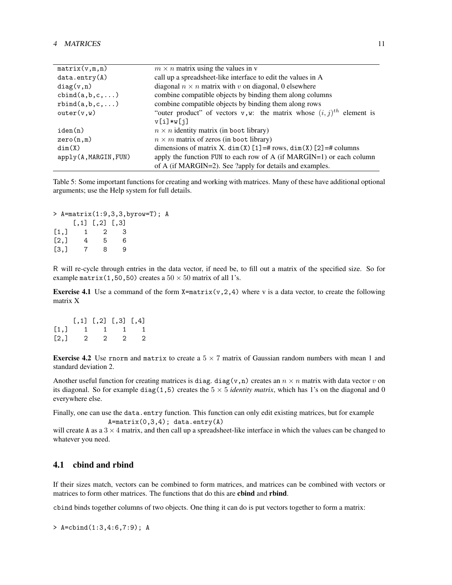| matrix(v,m,n)            | $m \times n$ matrix using the values in v                                           |
|--------------------------|-------------------------------------------------------------------------------------|
| data. entry(A)           | call up a spreadsheet-like interface to edit the values in A                        |
| diag(v, n)               | diagonal $n \times n$ matrix with v on diagonal, 0 elsewhere                        |
| $cbind(a, b, c, \ldots)$ | combine compatible objects by binding them along columns                            |
| rbind(a,b,c,)            | combine compatible objects by binding them along rows                               |
| outer(v, w)              | "outer product" of vectors v, w: the matrix whose $(i, j)$ <sup>th</sup> element is |
|                          | $v[i]*w[j]$                                                                         |
| iden(n)                  | $n \times n$ identity matrix (in boot library)                                      |
| zero(n,m)                | $n \times m$ matrix of zeros (in boot library)                                      |
| dim(X)                   | dimensions of matrix X. dim(X) $[1] = # rows$ , dim(X) $[2] = # columns$            |
| apply(A, MARGIN, FUN)    | apply the function FUN to each row of A (if MARGIN=1) or each column                |
|                          | of A (if MARGIN=2). See ?apply for details and examples.                            |

Table 5: Some important functions for creating and working with matrices. Many of these have additional optional arguments; use the Help system for full details.

```
> A=matrix(1:9,3,3,byrow=T); A
   [,1] [,2] [,3]
[1,] 1 2 3
[2,] 4 5 6
[3,] 7 8 9
```
R will re-cycle through entries in the data vector, if need be, to fill out a matrix of the specified size. So for example matrix(1,50,50) creates a  $50 \times 50$  matrix of all 1's.

**Exercise 4.1** Use a command of the form  $X=matrix(v,2,4)$  where v is a data vector, to create the following matrix X

|      |         | $[0,1]$ $[0,2]$ $[0,3]$ $[0,4]$ |                |
|------|---------|---------------------------------|----------------|
| [1,] | 1 1 1 1 |                                 |                |
| [2,] |         | 2 2 2                           | $\overline{2}$ |

**Exercise 4.2** Use rnorm and matrix to create a  $5 \times 7$  matrix of Gaussian random numbers with mean 1 and standard deviation 2.

Another useful function for creating matrices is diag. diag(v,n) creates an  $n \times n$  matrix with data vector v on its diagonal. So for example diag(1,5) creates the  $5 \times 5$  *identity matrix*, which has 1's on the diagonal and 0 everywhere else.

Finally, one can use the data.entry function. This function can only edit existing matrices, but for example  $A = matrix(0,3,4); data. entry(A)$ 

will create A as a  $3 \times 4$  matrix, and then call up a spreadsheet-like interface in which the values can be changed to whatever you need.

## 4.1 cbind and rbind

If their sizes match, vectors can be combined to form matrices, and matrices can be combined with vectors or matrices to form other matrices. The functions that do this are cbind and rbind.

cbind binds together columns of two objects. One thing it can do is put vectors together to form a matrix:

> A=cbind(1:3,4:6,7:9); A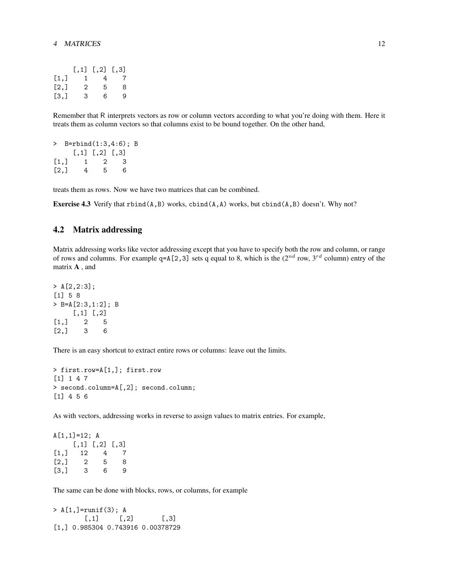### 4 MATRICES 12

|                    |   | $[,1]$ $[,2]$ $[,3]$ |                |
|--------------------|---|----------------------|----------------|
| [1,]               | 1 | 4                    | $\overline{7}$ |
| $\left[2, \right]$ | 2 | 5                    | 8              |
| $\left[3, \right]$ | 3 | 6                    | 9              |

Remember that R interprets vectors as row or column vectors according to what you're doing with them. Here it treats them as column vectors so that columns exist to be bound together. On the other hand,

```
> B=rbind(1:3,4:6); B
   [,1] [,2] [,3][1,] 1 2 3
[2,] 4 5 6
```
treats them as rows. Now we have two matrices that can be combined.

**Exercise 4.3** Verify that  $rbind(A, B)$  works,  $cbind(A, A)$  works, but  $cbind(A, B)$  doesn't. Why not?

## 4.2 Matrix addressing

Matrix addressing works like vector addressing except that you have to specify both the row and column, or range of rows and columns. For example  $q=A[2,3]$  sets q equal to 8, which is the ( $2^{nd}$  row,  $3^{rd}$  column) entry of the matrix A , and

```
> A[2,2:3];
[1] 5 8
> B=A[2:3,1:2]; B
    [,1] [,2][1,] 2 5[2,] 3 6
```
There is an easy shortcut to extract entire rows or columns: leave out the limits.

```
> first.row=A[1,]; first.row
[1] 1 4 7
> second.column=A[,2]; second.column;
[1] 4 5 6
```
As with vectors, addressing works in reverse to assign values to matrix entries. For example,

```
A[1,1]=12; A
   [,1] [,2] [,3][1,] 12 4 7
[2,] 2 5 8[3,] 3 6 9
```
The same can be done with blocks, rows, or columns, for example

> A[1,]=runif(3); A  $[0,1]$   $[0,2]$   $[0,3]$ [1,] 0.985304 0.743916 0.00378729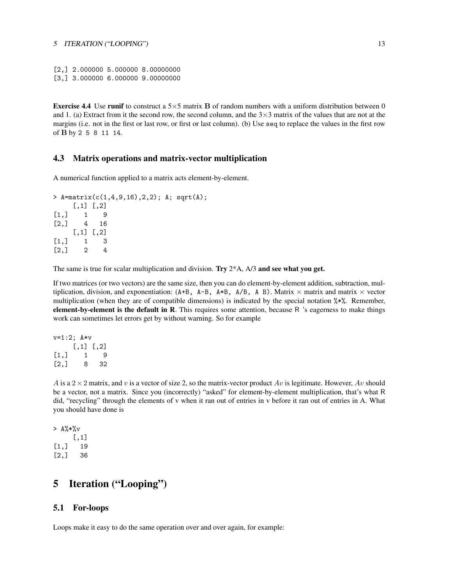[2,] 2.000000 5.000000 8.00000000 [3,] 3.000000 6.000000 9.00000000

**Exercise 4.4** Use runif to construct a  $5 \times 5$  matrix **B** of random numbers with a uniform distribution between 0 and 1. (a) Extract from it the second row, the second column, and the  $3\times3$  matrix of the values that are not at the margins (i.e. not in the first or last row, or first or last column). (b) Use seq to replace the values in the first row of B by 2 5 8 11 14.

## 4.3 Matrix operations and matrix-vector multiplication

A numerical function applied to a matrix acts element-by-element.

```
> A=matrix(c(1,4,9,16),2,2); A; sqrt(A);
    [,1] [,2][1,] 1 9[2,] 4 16
    [,1] [,2][1,] 1 3
[2,] 2 4
```
The same is true for scalar multiplication and division. Try  $2*A$ ,  $A/3$  and see what you get.

If two matrices (or two vectors) are the same size, then you can do element-by-element addition, subtraction, multiplication, division, and exponentiation:  $(A+B, A-B, A*B, A/B, A B)$ . Matrix  $\times$  matrix and matrix  $\times$  vector multiplication (when they are of compatible dimensions) is indicated by the special notation %\*%. Remember, element-by-element is the default in R. This requires some attention, because  $R$  's eagerness to make things work can sometimes let errors get by without warning. So for example

```
v=1:2; A*v
    [,1] [,2][1,] 1 9[2,] 8 32
```
A is a  $2 \times 2$  matrix, and v is a vector of size 2, so the matrix-vector product Av is legitimate. However, Av should be a vector, not a matrix. Since you (incorrectly) "asked" for element-by-element multiplication, that's what R did, "recycling" through the elements of v when it ran out of entries in v before it ran out of entries in A. What you should have done is

```
> A%*%v
    [,1]
[1,] 19
[2,] 36
```
# 5 Iteration ("Looping")

## 5.1 For-loops

Loops make it easy to do the same operation over and over again, for example: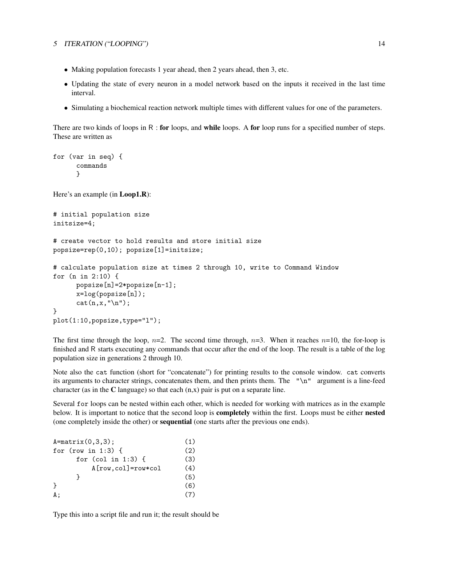### 5 ITERATION ("LOOPING") 14

- Making population forecasts 1 year ahead, then 2 years ahead, then 3, etc.
- Updating the state of every neuron in a model network based on the inputs it received in the last time interval.
- Simulating a biochemical reaction network multiple times with different values for one of the parameters.

There are two kinds of loops in  $R$  : for loops, and while loops. A for loop runs for a specified number of steps. These are written as

```
for (var in seq) {
      commands
      }
Here's an example (in Loop1.R):
# initial population size
initsize=4;
# create vector to hold results and store initial size
popsize=rep(0,10); popsize[1]=initsize;
# calculate population size at times 2 through 10, write to Command Window
for (n in 2:10) {
      popsize[n]=2*popsize[n-1];
      x=log(popsize[n]);
      cat(n, x, "\n");
}
plot(1:10,popsize,type="l");
```
The first time through the loop,  $n=2$ . The second time through,  $n=3$ . When it reaches  $n=10$ , the for-loop is finished and R starts executing any commands that occur after the end of the loop. The result is a table of the log population size in generations 2 through 10.

Note also the cat function (short for "concatenate") for printing results to the console window. cat converts its arguments to character strings, concatenates them, and then prints them. The "\n" argument is a line-feed character (as in the  $C$  language) so that each  $(n, x)$  pair is put on a separate line.

Several for loops can be nested within each other, which is needed for working with matrices as in the example below. It is important to notice that the second loop is **completely** within the first. Loops must be either **nested** (one completely inside the other) or sequential (one starts after the previous one ends).

| $A = matrix(0, 3, 3);$ | (1) |
|------------------------|-----|
| for (row in 1:3) $\{$  | (2) |
| for (col in 1:3) $\{$  | (3) |
| $A[row,col]=row*col$   | (4) |
|                        | (5) |
| ι                      | (6) |
| А ;                    | (7) |
|                        |     |

Type this into a script file and run it; the result should be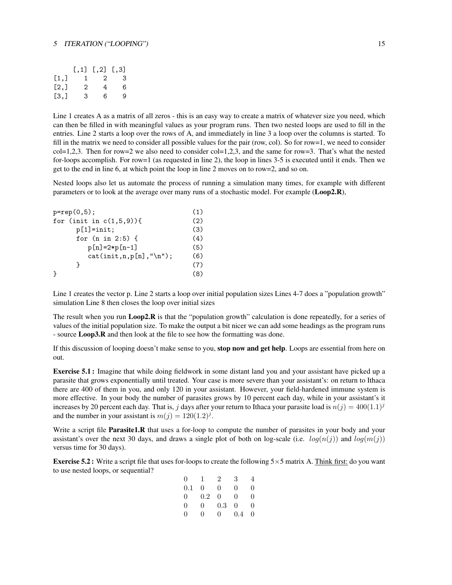### 5 ITERATION ("LOOPING") 15

|                    |   | $[0,1]$ $[0,2]$ $[0,3]$ |   |
|--------------------|---|-------------------------|---|
| [1,]               | 1 | $\overline{2}$          | 3 |
| $\left[2, \right]$ | 2 | 4                       | 6 |
| $\left[3, \right]$ | 3 | 6                       | 9 |

Line 1 creates A as a matrix of all zeros - this is an easy way to create a matrix of whatever size you need, which can then be filled in with meaningful values as your program runs. Then two nested loops are used to fill in the entries. Line 2 starts a loop over the rows of A, and immediately in line 3 a loop over the columns is started. To fill in the matrix we need to consider all possible values for the pair (row, col). So for row=1, we need to consider  $col=1,2,3$ . Then for row=2 we also need to consider  $col=1,2,3$ , and the same for row=3. That's what the nested for-loops accomplish. For row=1 (as requested in line 2), the loop in lines 3-5 is executed until it ends. Then we get to the end in line 6, at which point the loop in line 2 moves on to row=2, and so on.

Nested loops also let us automate the process of running a simulation many times, for example with different parameters or to look at the average over many runs of a stochastic model. For example (Loop2.R),

| $p = rep(0,5)$ ;            | (1) |
|-----------------------------|-----|
| for (init in $c(1,5,9)$ ){  | (2) |
| $p[1] = init;$              | (3) |
| for $(n \in 2:5)$ {         | (4) |
| $p[n] = 2*p[n-1]$           | (5) |
| $cat(int, n, p[n], "\n")$ ; | (6) |
|                             | (7) |
|                             | (8) |

Line 1 creates the vector p. Line 2 starts a loop over initial population sizes Lines 4-7 does a "population growth" simulation Line 8 then closes the loop over initial sizes

The result when you run Loop2.R is that the "population growth" calculation is done repeatedly, for a series of values of the initial population size. To make the output a bit nicer we can add some headings as the program runs - source Loop3.R and then look at the file to see how the formatting was done.

If this discussion of looping doesn't make sense to you, stop now and get help. Loops are essential from here on out.

Exercise 5.1 : Imagine that while doing fieldwork in some distant land you and your assistant have picked up a parasite that grows exponentially until treated. Your case is more severe than your assistant's: on return to Ithaca there are 400 of them in you, and only 120 in your assistant. However, your field-hardened immune system is more effective. In your body the number of parasites grows by 10 percent each day, while in your assistant's it increases by 20 percent each day. That is, j days after your return to Ithaca your parasite load is  $n(j) = 400(1.1)^{j}$ and the number in your assistant is  $m(j) = 120(1.2)^j$ .

Write a script file **Parasite1.R** that uses a for-loop to compute the number of parasites in your body and your assistant's over the next 30 days, and draws a single plot of both on log-scale (i.e.  $log(n(j))$  and  $log(m(j))$ ) versus time for 30 days).

**Exercise 5.2:** Write a script file that uses for-loops to create the following  $5 \times 5$  matrix A. Think first: do you want to use nested loops, or sequential?

| $\theta$       | 1   | $\overline{2}$ | 3   | 4 |
|----------------|-----|----------------|-----|---|
| 0.1            | 0   | 0              | 0   | 0 |
| $\overline{0}$ | 0.2 | 0              | 0   | 0 |
| $\Omega$       | 0   | $0.3\,$        | 0   | 0 |
| ∩              | O   | 0              | 0.4 | 0 |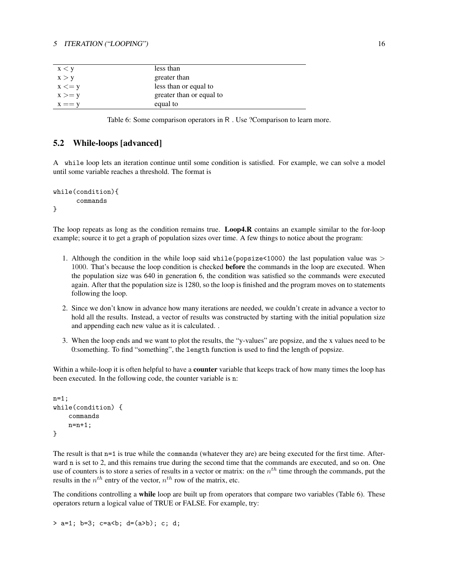### 5 ITERATION ("LOOPING") 16

| x < y     | less than                |
|-----------|--------------------------|
| x > y     | greater than             |
| $x \le y$ | less than or equal to    |
| $x >= y$  | greater than or equal to |
| $x == y$  | equal to                 |

Table 6: Some comparison operators in R . Use ?Comparison to learn more.

## 5.2 While-loops [advanced]

A while loop lets an iteration continue until some condition is satisfied. For example, we can solve a model until some variable reaches a threshold. The format is

```
while(condition){
      commands
}
```
The loop repeats as long as the condition remains true. Loop4.R contains an example similar to the for-loop example; source it to get a graph of population sizes over time. A few things to notice about the program:

- 1. Although the condition in the while loop said while(popsize $<1000$ ) the last population value was > 1000. That's because the loop condition is checked **before** the commands in the loop are executed. When the population size was 640 in generation 6, the condition was satisfied so the commands were executed again. After that the population size is 1280, so the loop is finished and the program moves on to statements following the loop.
- 2. Since we don't know in advance how many iterations are needed, we couldn't create in advance a vector to hold all the results. Instead, a vector of results was constructed by starting with the initial population size and appending each new value as it is calculated. .
- 3. When the loop ends and we want to plot the results, the "y-values" are popsize, and the x values need to be 0:something. To find "something", the length function is used to find the length of popsize.

Within a while-loop it is often helpful to have a **counter** variable that keeps track of how many times the loop has been executed. In the following code, the counter variable is n:

```
n=1;
while(condition) {
    commands
    n=n+1;
}
```
The result is that n=1 is true while the commands (whatever they are) are being executed for the first time. Afterward n is set to 2, and this remains true during the second time that the commands are executed, and so on. One use of counters is to store a series of results in a vector or matrix: on the  $n<sup>th</sup>$  time through the commands, put the results in the  $n^{th}$  entry of the vector,  $n^{th}$  row of the matrix, etc.

The conditions controlling a while loop are built up from operators that compare two variables (Table 6). These operators return a logical value of TRUE or FALSE. For example, try:

```
> a=1; b=3; c=a<b; d=(a>b); c; d;
```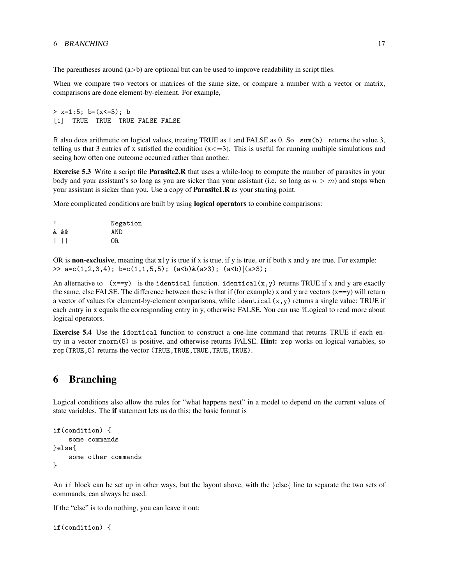The parentheses around  $(a>b)$  are optional but can be used to improve readability in script files.

When we compare two vectors or matrices of the same size, or compare a number with a vector or matrix, comparisons are done element-by-element. For example,

```
> x=1:5; b=(x<-3); b[1] TRUE TRUE TRUE FALSE FALSE
```
R also does arithmetic on logical values, treating TRUE as 1 and FALSE as 0. So sum(b) returns the value 3, telling us that 3 entries of x satisfied the condition  $(x \le -3)$ . This is useful for running multiple simulations and seeing how often one outcome occurred rather than another.

Exercise 5.3 Write a script file Parasite2.R that uses a while-loop to compute the number of parasites in your body and your assistant's so long as you are sicker than your assistant (i.e. so long as  $n > m$ ) and stops when your assistant is sicker than you. Use a copy of Parasite1.R as your starting point.

More complicated conditions are built by using logical operators to combine comparisons:

|         | Negation |
|---------|----------|
| & &&    | AND      |
| $\perp$ | OR.      |

OR is **non-exclusive**, meaning that  $x|y$  is true if x is true, if y is true, or if both x and y are true. For example: >>  $a=c(1,2,3,4); b=c(1,1,5,5); (a**<**)(a**>**3); (a**<**)(a**>**3);$ 

An alternative to  $(x=-y)$  is the identical function. identical $(x,y)$  returns TRUE if x and y are exactly the same, else FALSE. The difference between these is that if (for example) x and y are vectors  $(x=$ y) will return a vector of values for element-by-element comparisons, while identical $(x, y)$  returns a single value: TRUE if each entry in x equals the corresponding entry in y, otherwise FALSE. You can use ?Logical to read more about logical operators.

Exercise 5.4 Use the identical function to construct a one-line command that returns TRUE if each entry in a vector rnorm(5) is positive, and otherwise returns FALSE. Hint: rep works on logical variables, so rep(TRUE,5) returns the vector (TRUE,TRUE,TRUE,TRUE,TRUE).

# 6 Branching

Logical conditions also allow the rules for "what happens next" in a model to depend on the current values of state variables. The if statement lets us do this; the basic format is

```
if(condition) {
    some commands
}else{
    some other commands
}
```
An if block can be set up in other ways, but the layout above, with the }else{ line to separate the two sets of commands, can always be used.

If the "else" is to do nothing, you can leave it out:

```
if(condition) {
```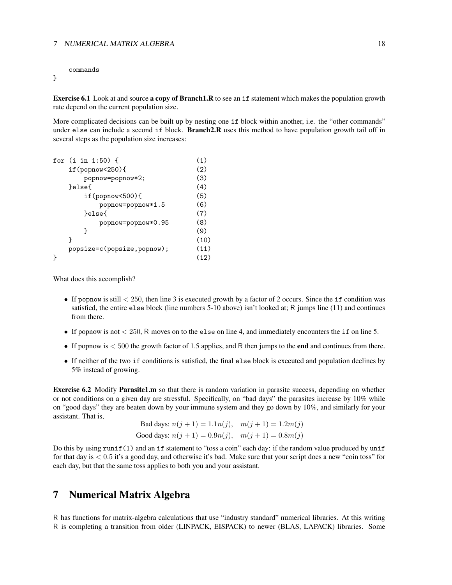### 7 NUMERICAL MATRIX ALGEBRA 18

commands

}

Exercise 6.1 Look at and source a copy of Branch1.R to see an if statement which makes the population growth rate depend on the current population size.

More complicated decisions can be built up by nesting one if block within another, i.e. the "other commands" under else can include a second if block. Branch2.R uses this method to have population growth tail off in several steps as the population size increases:

|                            | (1)                                                             |
|----------------------------|-----------------------------------------------------------------|
| $if (popnow 250)$          | (2)                                                             |
|                            | (3)                                                             |
| }else{                     | (4)                                                             |
| $if (popnow 500)$          | (5)                                                             |
| popnow=popnow*1.5          | (6)                                                             |
| }else{                     |                                                                 |
|                            | (8)                                                             |
| ł                          | (9)                                                             |
| ŀ                          | (10)                                                            |
| popsize=c(popsize,popnow); |                                                                 |
|                            | (12)                                                            |
|                            | for $(i \in [1:50)$ {<br>popnow=popnow*2;<br>popnow=popnow*0.95 |

What does this accomplish?

- If popnow is still  $<$  250, then line 3 is executed growth by a factor of 2 occurs. Since the if condition was satisfied, the entire else block (line numbers 5-10 above) isn't looked at; R jumps line (11) and continues from there.
- If popnow is not  $< 250$ , R moves on to the else on line 4, and immediately encounters the if on line 5.
- If popnow is  $< 500$  the growth factor of 1.5 applies, and R then jumps to the **end** and continues from there.
- If neither of the two if conditions is satisfied, the final else block is executed and population declines by 5% instead of growing.

Exercise 6.2 Modify Parasite1.m so that there is random variation in parasite success, depending on whether or not conditions on a given day are stressful. Specifically, on "bad days" the parasites increase by 10% while on "good days" they are beaten down by your immune system and they go down by 10%, and similarly for your assistant. That is,

Bad days:  $n(j + 1) = 1.1n(j), m(j + 1) = 1.2m(j)$ Good days:  $n(j + 1) = 0.9n(j), m(j + 1) = 0.8m(j)$ 

Do this by using runif(1) and an if statement to "toss a coin" each day: if the random value produced by unif for that day is  $< 0.5$  it's a good day, and otherwise it's bad. Make sure that your script does a new "coin toss" for each day, but that the same toss applies to both you and your assistant.

# 7 Numerical Matrix Algebra

R has functions for matrix-algebra calculations that use "industry standard" numerical libraries. At this writing R is completing a transition from older (LINPACK, EISPACK) to newer (BLAS, LAPACK) libraries. Some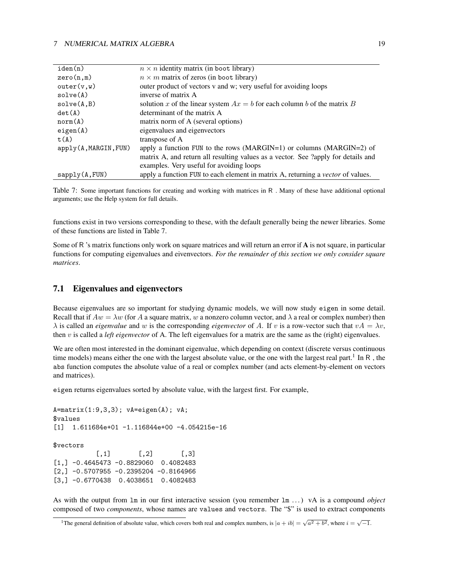| iden(n)               | $n \times n$ identity matrix (in boot library)                                    |
|-----------------------|-----------------------------------------------------------------------------------|
| zero(n,m)             | $n \times m$ matrix of zeros (in boot library)                                    |
| outer(v, w)           | outer product of vectors v and w; very useful for avoiding loops                  |
| solve(A)              | inverse of matrix A                                                               |
| solve(A, B)           | solution x of the linear system $Ax = b$ for each column b of the matrix B        |
| det(A)                | determinant of the matrix A                                                       |
| norm(A)               | matrix norm of A (several options)                                                |
| eigen(A)              | eigenvalues and eigenvectors                                                      |
| t(A)                  | transpose of A                                                                    |
| apply(A, MARGIN, FUN) | apply a function FUN to the rows (MARGIN=1) or columns (MARGIN=2) of              |
|                       | matrix A, and return all resulting values as a vector. See ?apply for details and |
|                       | examples. Very useful for avoiding loops                                          |
| sapply(A, FUN)        | apply a function FUN to each element in matrix A, returning a vector of values.   |
|                       |                                                                                   |

Table 7: Some important functions for creating and working with matrices in R . Many of these have additional optional arguments; use the Help system for full details.

functions exist in two versions corresponding to these, with the default generally being the newer libraries. Some of these functions are listed in Table 7.

Some of R 's matrix functions only work on square matrices and will return an error if A is not square, in particular functions for computing eigenvalues and eivenvectors. *For the remainder of this section we only consider square matrices*.

## 7.1 Eigenvalues and eigenvectors

Because eigenvalues are so important for studying dynamic models, we will now study eigen in some detail. Recall that if  $Aw = \lambda w$  (for A a square matrix, w a nonzero column vector, and  $\lambda$  a real or complex number) then  $\lambda$  is called an *eigenvalue* and w is the corresponding *eigenvector* of A. If v is a row-vector such that  $vA = \lambda v$ , then  $v$  is called a *left eigenvector* of A. The left eigenvalues for a matrix are the same as the (right) eigenvalues.

We are often most interested in the dominant eigenvalue, which depending on context (discrete versus continuous time models) means either the one with the largest absolute value, or the one with the largest real part.<sup>1</sup> In R, the abs function computes the absolute value of a real or complex number (and acts element-by-element on vectors and matrices).

eigen returns eigenvalues sorted by absolute value, with the largest first. For example,

```
A=matrix(1:9,3,3); vA=eigen(A); vA;
$values
[1] 1.611684e+01 -1.116844e+00 -4.054215e-16
$vectors
          [,1] [,2] [,3]
[1,] -0.4645473 -0.8829060 0.4082483[2,] -0.5707955 -0.2395204 -0.8164966[3,] -0.6770438 0.4038651 0.4082483
```
As with the output from lm in our first interactive session (you remember lm . . . ) vA is a compound *object* composed of two *components*, whose names are values and vectors. The "\$" is used to extract components

<sup>&</sup>lt;sup>1</sup>The general definition of absolute value, which covers both real and complex numbers, is  $|a + ib| = \sqrt{a^2 + b^2}$ , where  $i = \sqrt{-1}$ .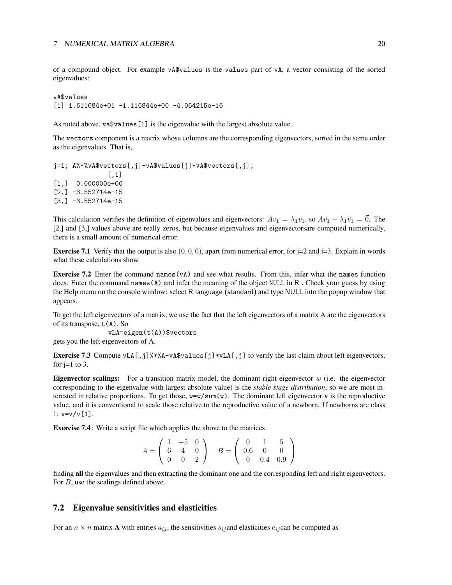of a compound object. For example vA\$values is the values part of vA, a vector consisting of the sorted eigenvalues:

vA\$values [1] 1.611684e+01 -1.116844e+00 -4.054215e-16

As noted above, va\$values[1] is the eigenvalue with the largest absolute value.

The vectors component is a matrix whose columns are the corresponding eigenvectors, sorted in the same order as the eigenvalues. That is,

j=1; A%\*%vA\$vectors[,j]-vA\$values[j]\*vA\$vectors[,j]; [,1] [1,] 0.000000e+00  $[2,] -3.552714e-15$  $[3,] -3.552714e-15$ 

This calculation verifies the definition of eigenvalues and eigenvectors:  $Av_1 = \lambda_1 v_1$ , so  $A\vec{v}_1 - \lambda_1 \vec{v}_1 = \vec{0}$ . The [2,] and [3,] values above are really zeros, but because eigenvalues and eigenvectorsare computed numerically, there is a small amount of numerical error.

**Exercise 7.1** Verify that the output is also  $(0, 0, 0)$ , apart from numerical error, for j=2 and j=3. Explain in words what these calculations show.

**Exercise 7.2** Enter the command names (vA) and see what results. From this, infer what the names function does. Enter the command names (A) and infer the meaning of the object NULL in R. Check your guess by using the Help menu on the console window: select R language (standard) and type NULL into the popup window that appears.

To get the left eigenvectors of a matrix, we use the fact that the left eigenvectors of a matrix A are the eigenvectors of its transpose,  $t(A)$ . So

vLA=eigen(t(A))\$vectors

gets you the left eigenvectors of A.

**Exercise 7.3** Compute vLA $[,$ j]%\*%A-vA\$values $[$ j]\*vLA $[,$ j] to verify the last claim about left eigenvectors, for  $j=1$  to 3.

**Eigenvector scalings:** For a transition matrix model, the dominant right eigenvector  $w$  (i.e. the eigenvector corresponding to the eigenvalue with largest absolute value) is the *stable stage distribution*, so we are most interested in relative proportions. To get those,  $w=w/\text{sum}(w)$ . The dominant left eigenvector v is the reproductive value, and it is conventional to scale those relative to the reproductive value of a newborn. If newborns are class  $1: v = v / v \cdot 1$ .

Exercise 7.4 : Write a script file which applies the above to the matrices

$$
A = \left(\begin{array}{ccc} 1 & -5 & 0 \\ 6 & 4 & 0 \\ 0 & 0 & 2 \end{array}\right) \quad B = \left(\begin{array}{ccc} 0 & 1 & 5 \\ 0.6 & 0 & 0 \\ 0 & 0.4 & 0.9 \end{array}\right)
$$

finding all the eigenvalues and then extracting the dominant one and the corresponding left and right eigenvectors. For B, use the scalings defined above.

## 7.2 Eigenvalue sensitivities and elasticities

For an  $n \times n$  matrix **A** with entries  $a_{ij}$ , the sensitivities  $s_{ij}$  and elasticities  $e_{ij}$  can be computed as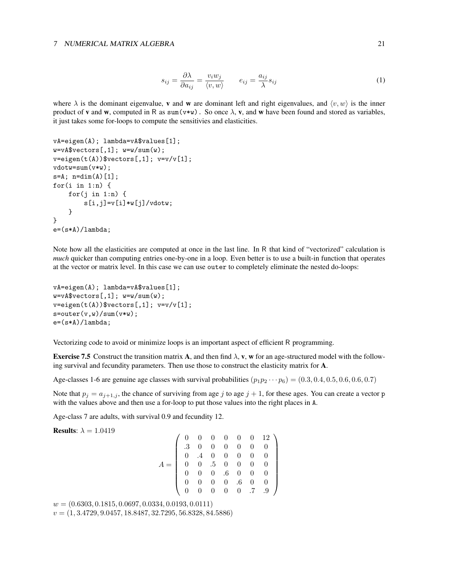### 7 NUMERICAL MATRIX ALGEBRA 21

$$
s_{ij} = \frac{\partial \lambda}{\partial a_{ij}} = \frac{v_i w_j}{\langle v, w \rangle} \qquad e_{ij} = \frac{a_{ij}}{\lambda} s_{ij} \tag{1}
$$

where  $\lambda$  is the dominant eigenvalue, **v** and **w** are dominant left and right eigenvalues, and  $\langle v, w \rangle$  is the inner product of **v** and **w**, computed in R as sum(v\*w). So once  $\lambda$ , **v**, and **w** have been found and stored as variables, it just takes some for-loops to compute the sensitivies and elasticities.

```
vA=eigen(A); lambda=vA$values[1];
w=vA$vectors[, 1]; w=w/sum(w);v = eigen(t(A))$vectors[,1]; v = v/v[1];
vdotw=sum(v*w);
s=A; n=dim(A)[1];for(i in 1:n) {
    for(j in 1:n) {
        s[i,j]=v[i]*w[j]/vdotw;
    }
}
e=(s*A)/lambda;
```
Note how all the elasticities are computed at once in the last line. In R that kind of "vectorized" calculation is *much* quicker than computing entries one-by-one in a loop. Even better is to use a built-in function that operates at the vector or matrix level. In this case we can use outer to completely eliminate the nested do-loops:

```
vA=eigen(A); lambda=vA$values[1];
w=vA$vectors[, 1]; w=w/sum(w);v = eigenv(t(A))$vectors[,1]; v = v/v[1];
s=outer(v,w)/sum(v*w);e=(s*A)/lambda;
```
Vectorizing code to avoid or minimize loops is an important aspect of efficient R programming.

**Exercise 7.5** Construct the transition matrix A, and then find  $\lambda$ , v, w for an age-structured model with the following survival and fecundity parameters. Then use those to construct the elasticity matrix for A.

Age-classes 1-6 are genuine age classes with survival probabilities  $(p_1p_2 \cdots p_6) = (0.3, 0.4, 0.5, 0.6, 0.6, 0.7)$ 

Note that  $p_j = a_{j+1,j}$ , the chance of surviving from age j to age  $j + 1$ , for these ages. You can create a vector p with the values above and then use a for-loop to put those values into the right places in A.

Age-class 7 are adults, with survival 0.9 and fecundity 12.

**Results:**  $\lambda = 1.0419$ 

```
A =(0 \t 0 \t 0 \t 0 \t 0 \t 12)
      .3 0 0 0 0 0 0
      0 .4 0 0 0 0 0
      0 0 .5 0 0 0 0
      0 0 0 .6 0 0 0
      0 0 0 0 .6 0 0
      0 0 0 0 0 .7 .9
                            \setminus\overline{\phantom{a}}
```
 $w = (0.6303, 0.1815, 0.0697, 0.0334, 0.0193, 0.0111)$  $v = (1, 3.4729, 9.0457, 18.8487, 32.7295, 56.8328, 84.5886)$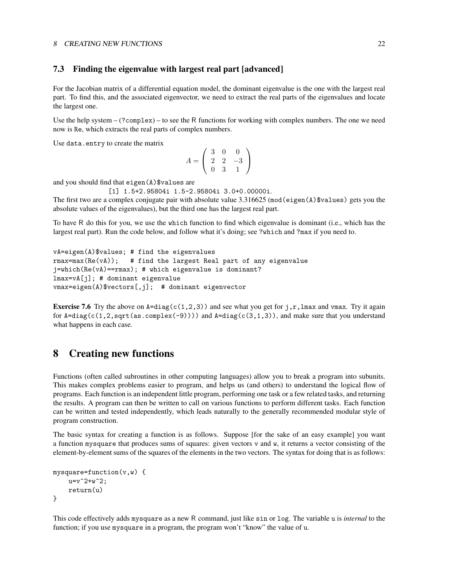### 8 CREATING NEW FUNCTIONS 22

## 7.3 Finding the eigenvalue with largest real part [advanced]

For the Jacobian matrix of a differential equation model, the dominant eigenvalue is the one with the largest real part. To find this, and the associated eigenvector, we need to extract the real parts of the eigenvalues and locate the largest one.

Use the help system – (?complex) – to see the R functions for working with complex numbers. The one we need now is Re, which extracts the real parts of complex numbers.

Use data.entry to create the matrix

$$
A = \left(\begin{array}{rrr} 3 & 0 & 0 \\ 2 & 2 & -3 \\ 0 & 3 & 1 \end{array}\right)
$$

and you should find that eigen(A)\$values are

[1] 1.5+2.95804i 1.5-2.95804i 3.0+0.00000i.

The first two are a complex conjugate pair with absolute value  $3.316625$  (mod(eigen(A)\$values) gets you the absolute values of the eigenvalues), but the third one has the largest real part.

To have R do this for you, we use the which function to find which eigenvalue is dominant (i.e., which has the largest real part). Run the code below, and follow what it's doing; see ?which and ?max if you need to.

```
vA=eigen(A)$values; # find the eigenvalues
rmax=max(Re(vA)); # find the largest Real part of any eigenvalue
j=which(Re(vA)==rmax); # which eigenvalue is dominant?
lmax=vA[j]; # dominant eigenvalue
vmax=eigen(A)$vectors[,j]; # dominant eigenvector
```
**Exercise 7.6** Try the above on  $A = diag(c(1,2,3))$  and see what you get for j, r, lmax and vmax. Try it again for  $A = diag(c(1, 2, sqrt(as, complex(-9))))$  and  $A = diag(c(3, 1, 3))$ , and make sure that you understand what happens in each case.

# 8 Creating new functions

Functions (often called subroutines in other computing languages) allow you to break a program into subunits. This makes complex problems easier to program, and helps us (and others) to understand the logical flow of programs. Each function is an independent little program, performing one task or a few related tasks, and returning the results. A program can then be written to call on various functions to perform different tasks. Each function can be written and tested independently, which leads naturally to the generally recommended modular style of program construction.

The basic syntax for creating a function is as follows. Suppose [for the sake of an easy example] you want a function mysquare that produces sums of squares: given vectors v and w, it returns a vector consisting of the element-by-element sums of the squares of the elements in the two vectors. The syntax for doing that is as follows:

```
mysquare=function(v,w) {
   u=v^2+w^2;return(u)
}
```
This code effectively adds mysquare as a new R command, just like sin or log. The variable u is *internal* to the function; if you use mysquare in a program, the program won't "know" the value of u.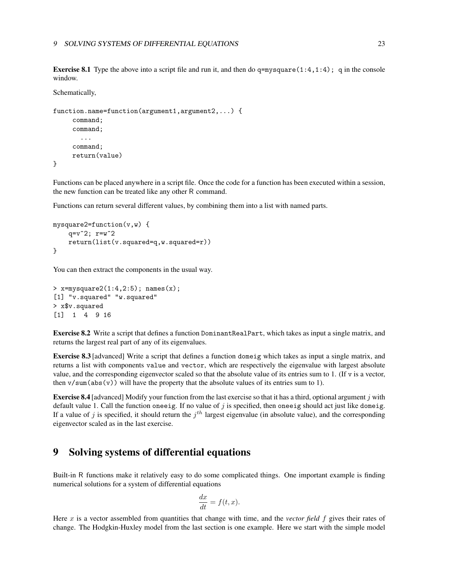**Exercise 8.1** Type the above into a script file and run it, and then do  $q = mysquare(1:4,1:4)$ ; q in the console window.

Schematically,

```
function.name=function(argument1,argument2,...) {
     command;
     command;
       ...
     command;
     return(value)
```
}

Functions can be placed anywhere in a script file. Once the code for a function has been executed within a session, the new function can be treated like any other R command.

Functions can return several different values, by combining them into a list with named parts.

```
mysquare2=function(v,w) {
   q=v^2; r=w^2return(list(v.squared=q,w.squared=r))
}
```
You can then extract the components in the usual way.

```
> x = mysquare(1:4,2:5); names(x);[1] "v.squared" "w.squared"
> x$v.squared
[1] 1 4 9 16
```
Exercise 8.2 Write a script that defines a function DominantRealPart, which takes as input a single matrix, and returns the largest real part of any of its eigenvalues.

Exercise 8.3 [advanced] Write a script that defines a function domeig which takes as input a single matrix, and returns a list with components value and vector, which are respectively the eigenvalue with largest absolute value, and the corresponding eigenvector scaled so that the absolute value of its entries sum to 1. (If  $\nu$  is a vector, then  $v/\text{sum}(\text{abs}(v))$  will have the property that the absolute values of its entries sum to 1).

Exercise 8.4 [advanced] Modify your function from the last exercise so that it has a third, optional argument j with default value 1. Call the function oneeig. If no value of  $j$  is specified, then oneeig should act just like domeig. If a value of j is specified, it should return the  $j<sup>th</sup>$  largest eigenvalue (in absolute value), and the corresponding eigenvector scaled as in the last exercise.

# 9 Solving systems of differential equations

Built-in R functions make it relatively easy to do some complicated things. One important example is finding numerical solutions for a system of differential equations

$$
\frac{dx}{dt} = f(t, x).
$$

Here x is a vector assembled from quantities that change with time, and the *vector field* f gives their rates of change. The Hodgkin-Huxley model from the last section is one example. Here we start with the simple model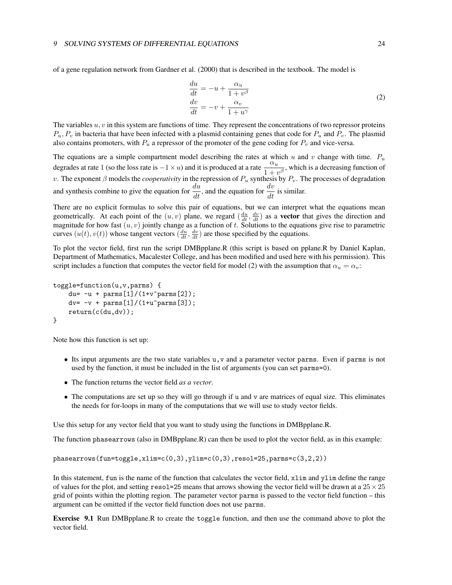of a gene regulation network from Gardner et al. (2000) that is described in the textbook. The model is

$$
\begin{aligned}\n\frac{du}{dt} &= -u + \frac{\alpha_u}{1 + v^\beta} \\
\frac{dv}{dt} &= -v + \frac{\alpha_v}{1 + u^\gamma}\n\end{aligned} \tag{2}
$$

The variables  $u, v$  in this system are functions of time. They represent the concentrations of two repressor proteins  $P_u$ ,  $P_v$  in bacteria that have been infected with a plasmid containing genes that code for  $P_u$  and  $P_v$ . The plasmid also contains promoters, with  $P_u$  a repressor of the promoter of the gene coding for  $P_v$  and vice-versa.

The equations are a simple compartment model describing the rates at which u and v change with time.  $P_u$ degrades at rate 1 (so the loss rate is  $-1 \times u$ ) and it is produced at a rate  $\frac{\alpha_u}{1+v^\beta}$ , which is a decreasing function of v. The exponent  $\beta$  models the *cooperativity* in the repression of  $P_u$  synthesis by  $P_v$ . The processes of degradation and synthesis combine to give the equation for  $\frac{du}{dt}$ , and the equation for  $\frac{dv}{dt}$  is similar.

There are no explicit formulas to solve this pair of equations, but we can interpret what the equations mean geometrically. At each point of the  $(u, v)$  plane, we regard  $(\frac{du}{dt}, \frac{dv}{dt})$  as a **vector** that gives the direction and magnitude for how fast  $(u, v)$  jointly change as a function of t. Solutions to the equations give rise to parametric curves  $(u(t), v(t))$  whose tangent vectors  $(\frac{du}{dt}, \frac{dv}{dt})$  are those specified by the equations.

To plot the vector field, first run the script DMBpplane.R (this script is based on pplane.R by Daniel Kaplan, Department of Mathematics, Macalester College, and has been modified and used here with his permission). This script includes a function that computes the vector field for model (2) with the assumption that  $\alpha_u = \alpha_v$ .

```
toggle=function(u,v,parms) {
    du= -u + \text{params}[1]/(1+v^{\text{th}})dv = -v + parms[1]/(1+u^parms[3]);return(c(du,dv));
}
```
Note how this function is set up:

- Its input arguments are the two state variables u,v and a parameter vector parms. Even if parms is not used by the function, it must be included in the list of arguments (you can set parms=0).
- The function returns the vector field *as a vector*.
- The computations are set up so they will go through if u and v are matrices of equal size. This eliminates the needs for for-loops in many of the computations that we will use to study vector fields.

Use this setup for any vector field that you want to study using the functions in DMBpplane.R.

The function phasearrows (also in DMBpplane.R) can then be used to plot the vector field, as in this example:

phasearrows(fun=toggle,xlim=c(0,3),ylim=c(0,3),resol=25,parms=c(3,2,2))

In this statement, fun is the name of the function that calculates the vector field, xlim and ylim define the range of values for the plot, and setting resol=25 means that arrows showing the vector field will be drawn at a  $25 \times 25$ grid of points within the plotting region. The parameter vector parms is passed to the vector field function – this argument can be omitted if the vector field function does not use parms.

Exercise 9.1 Run DMBpplane.R to create the toggle function, and then use the command above to plot the vector field.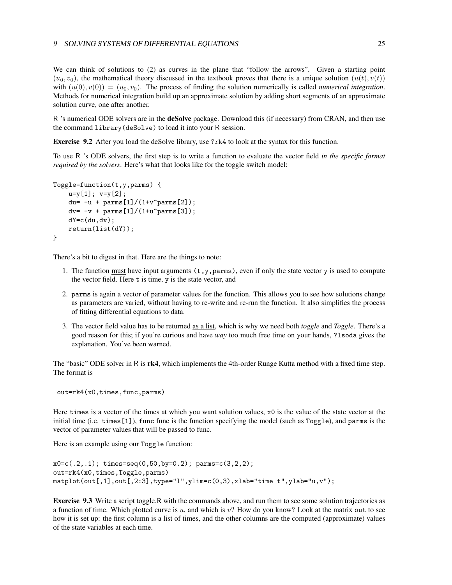We can think of solutions to (2) as curves in the plane that "follow the arrows". Given a starting point  $(u_0, v_0)$ , the mathematical theory discussed in the textbook proves that there is a unique solution  $(u(t), v(t))$ with  $(u(0), v(0)) = (u_0, v_0)$ . The process of finding the solution numerically is called *numerical integration*. Methods for numerical integration build up an approximate solution by adding short segments of an approximate solution curve, one after another.

R 's numerical ODE solvers are in the **deSolve** package. Download this (if necessary) from CRAN, and then use the command library(deSolve) to load it into your R session.

Exercise 9.2 After you load the deSolve library, use ?rk4 to look at the syntax for this function.

To use R 's ODE solvers, the first step is to write a function to evaluate the vector field *in the specific format required by the solvers*. Here's what that looks like for the toggle switch model:

```
Toggle=function(t,y,parms) {
    u=y[1]; v=y[2];du= -u + parms[1]/(1+v^parms[2]);dv = -v + parms[1]/(1+u^parms[3]);dY = c(du, dv);
    return(list(dY));
}
```
There's a bit to digest in that. Here are the things to note:

- 1. The function must have input arguments  $(t, y, \text{params})$ , even if only the state vector y is used to compute the vector field. Here t is time, y is the state vector, and
- 2. parms is again a vector of parameter values for the function. This allows you to see how solutions change as parameters are varied, without having to re-write and re-run the function. It also simplifies the process of fitting differential equations to data.
- 3. The vector field value has to be returned as a list, which is why we need both *toggle* and *Toggle*. There's a good reason for this; if you're curious and have *way* too much free time on your hands, ?lsoda gives the explanation. You've been warned.

The "basic" ODE solver in R is **rk4**, which implements the 4th-order Runge Kutta method with a fixed time step. The format is

```
out=rk4(x0,times,func,parms)
```
Here times is a vector of the times at which you want solution values, x0 is the value of the state vector at the initial time (i.e. times[1]), func func is the function specifying the model (such as Toggle), and parms is the vector of parameter values that will be passed to func.

Here is an example using our Toggle function:

```
x0=c(.2,.1); times=seq(0,50,by=0.2); parms=c(3,2,2);out=rk4(x0,times,Toggle,parms)
matplot(out[,1],out[,2:3],type="l",ylim=c(0,3),xlab="time t",ylab="u,v");
```
Exercise 9.3 Write a script toggle.R with the commands above, and run them to see some solution trajectories as a function of time. Which plotted curve is  $u$ , and which is  $v$ ? How do you know? Look at the matrix out to see how it is set up: the first column is a list of times, and the other columns are the computed (approximate) values of the state variables at each time.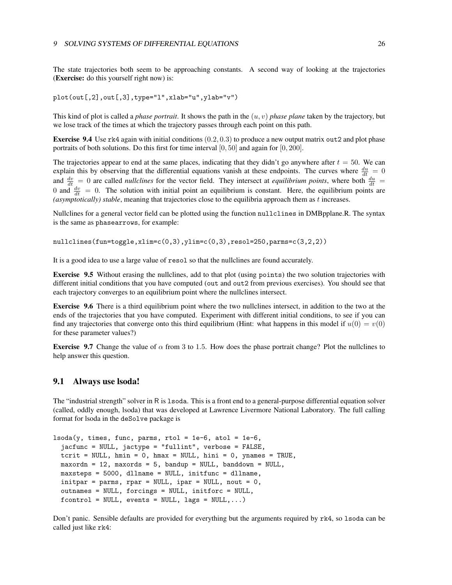The state trajectories both seem to be approaching constants. A second way of looking at the trajectories (Exercise: do this yourself right now) is:

```
plot(out[,2],out[,3],type="l",xlab="u",ylab="v")
```
This kind of plot is called a *phase portrait*. It shows the path in the (u, v) *phase plane* taken by the trajectory, but we lose track of the times at which the trajectory passes through each point on this path.

**Exercise 9.4** Use rk4 again with initial conditions  $(0.2, 0.3)$  to produce a new output matrix out 2 and plot phase portraits of both solutions. Do this first for time interval  $[0, 50]$  and again for  $[0, 200]$ .

The trajectories appear to end at the same places, indicating that they didn't go anywhere after  $t = 50$ . We can explain this by observing that the differential equations vanish at these endpoints. The curves where  $\frac{du}{dt} = 0$ and  $\frac{dv}{dt} = 0$  are called *nullclines* for the vector field. They intersect at *equilibrium points*, where both  $\frac{du}{dt} =$ 0 and  $\frac{dv}{dt} = 0$ . The solution with initial point an equilibrium is constant. Here, the equilibrium points are *(asymptotically) stable*, meaning that trajectories close to the equilibria approach them as t increases.

Nullclines for a general vector field can be plotted using the function nullclines in DMBpplane.R. The syntax is the same as phasearrows, for example:

nullclines(fun=toggle,xlim=c(0,3),ylim=c(0,3),resol=250,parms=c(3,2,2))

It is a good idea to use a large value of resol so that the nullclines are found accurately.

Exercise 9.5 Without erasing the nullclines, add to that plot (using points) the two solution trajectories with different initial conditions that you have computed (out and out2 from previous exercises). You should see that each trajectory converges to an equilibrium point where the nullclines intersect.

Exercise 9.6 There is a third equilibrium point where the two nullclines intersect, in addition to the two at the ends of the trajectories that you have computed. Experiment with different initial conditions, to see if you can find any trajectories that converge onto this third equilibrium (Hint: what happens in this model if  $u(0) = v(0)$ ) for these parameter values?)

**Exercise** 9.7 Change the value of  $\alpha$  from 3 to 1.5. How does the phase portrait change? Plot the nullclines to help answer this question.

### 9.1 Always use lsoda!

The "industrial strength" solver in R is lsoda. This is a front end to a general-purpose differential equation solver (called, oddly enough, lsoda) that was developed at Lawrence Livermore National Laboratory. The full calling format for lsoda in the deSolve package is

```
lsoda(y, times, func, parms, rtol = 1e-6, atol = 1e-6,jacfunc = NULL, jactype = "fullint", verbose = FALSE,
  tcrit = NULL, hmin = 0, hmax = NULL, hini = 0, ynames = TRUE,
  maxordn = 12, maxords = 5, bandup = NULL, banddown = NULL,
  maxsteps = 5000, dllname = NULL, initfunc = dllname,
  initpar = parms, rpar = NULL, ipar = NULL, nout = 0,
  outnames = NULL, forcings = NULL, initforc = NULL,
  fcontrol = NULL, events = NULL, lags = NULL, ...
```
Don't panic. Sensible defaults are provided for everything but the arguments required by rk4, so lsoda can be called just like rk4: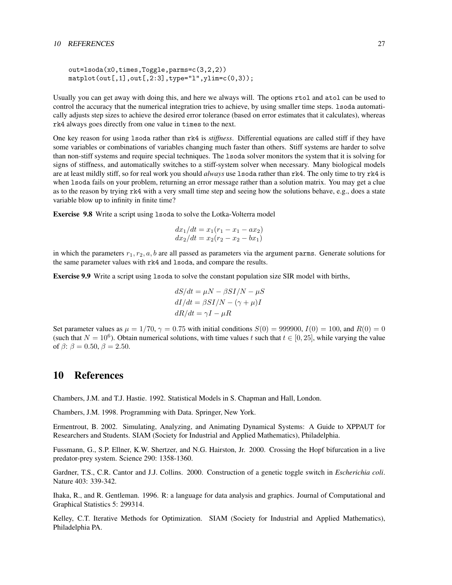```
out=lsoda(x0,times,Toggle,parms=c(3,2,2))
matplot(out[,1],out[,2:3],type="l",ylim=c(0,3));
```
Usually you can get away with doing this, and here we always will. The options rtol and atol can be used to control the accuracy that the numerical integration tries to achieve, by using smaller time steps. lsoda automatically adjusts step sizes to achieve the desired error tolerance (based on error estimates that it calculates), whereas rk4 always goes directly from one value in times to the next.

One key reason for using lsoda rather than rk4 is *stiffness*. Differential equations are called stiff if they have some variables or combinations of variables changing much faster than others. Stiff systems are harder to solve than non-stiff systems and require special techniques. The lsoda solver monitors the system that it is solving for signs of stiffness, and automatically switches to a stiff-system solver when necessary. Many biological models are at least mildly stiff, so for real work you should *always* use 1soda rather than rk4. The only time to try rk4 is when lsoda fails on your problem, returning an error message rather than a solution matrix. You may get a clue as to the reason by trying rk4 with a very small time step and seeing how the solutions behave, e.g., does a state variable blow up to infinity in finite time?

Exercise 9.8 Write a script using lsoda to solve the Lotka-Volterra model

$$
dx_1/dt = x_1(r_1 - x_1 - ax_2)
$$
  

$$
dx_2/dt = x_2(r_2 - x_2 - bx_1)
$$

in which the parameters  $r_1, r_2, a, b$  are all passed as parameters via the argument parms. Generate solutions for the same parameter values with rk4 and lsoda, and compare the results.

Exercise 9.9 Write a script using lsoda to solve the constant population size SIR model with births,

$$
dS/dt = \mu N - \beta SI/N - \mu S
$$

$$
dI/dt = \beta SI/N - (\gamma + \mu)I
$$

$$
dR/dt = \gamma I - \mu R
$$

Set parameter values as  $\mu = 1/70$ ,  $\gamma = 0.75$  with initial conditions  $S(0) = 999900$ ,  $I(0) = 100$ , and  $R(0) = 0$ (such that  $N = 10^6$ ). Obtain numerical solutions, with time values t such that  $t \in [0, 25]$ , while varying the value of  $\beta$ :  $\beta$  = 0.50,  $\beta$  = 2.50.

# 10 References

Chambers, J.M. and T.J. Hastie. 1992. Statistical Models in S. Chapman and Hall, London.

Chambers, J.M. 1998. Programming with Data. Springer, New York.

Ermentrout, B. 2002. Simulating, Analyzing, and Animating Dynamical Systems: A Guide to XPPAUT for Researchers and Students. SIAM (Society for Industrial and Applied Mathematics), Philadelphia.

Fussmann, G., S.P. Ellner, K.W. Shertzer, and N.G. Hairston, Jr. 2000. Crossing the Hopf bifurcation in a live predator-prey system. Science 290: 1358-1360.

Gardner, T.S., C.R. Cantor and J.J. Collins. 2000. Construction of a genetic toggle switch in *Escherichia coli*. Nature 403: 339-342.

Ihaka, R., and R. Gentleman. 1996. R: a language for data analysis and graphics. Journal of Computational and Graphical Statistics 5: 299314.

Kelley, C.T. Iterative Methods for Optimization. SIAM (Society for Industrial and Applied Mathematics), Philadelphia PA.